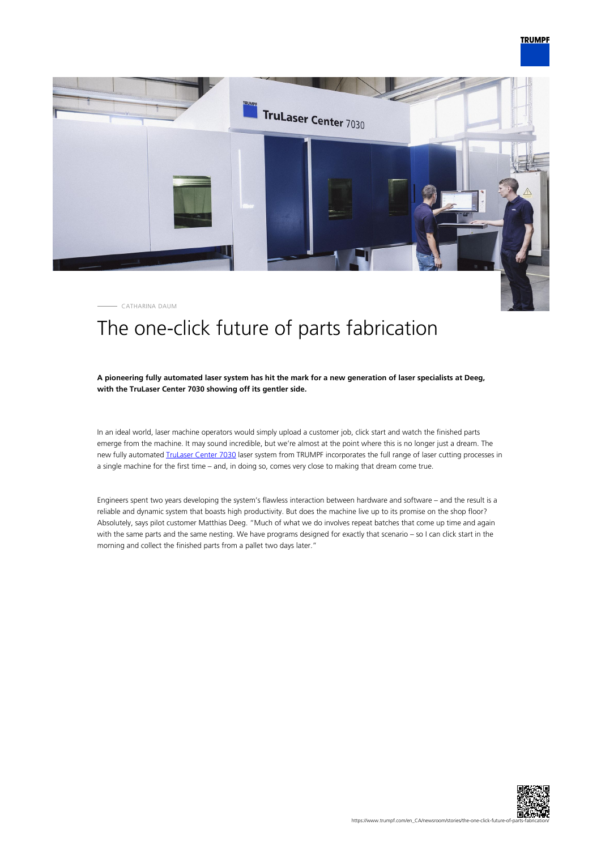

CATHARINA DAUM

# The one-click future of parts fabrication

## **A pioneering fully automated laser system has hit the mark for a new generation of laser specialists at Deeg, with the TruLaser Center 7030 showing off its gentler side.**

In an ideal world, laser machine operators would simply upload a customer job, click start and watch the finished parts emerge from the machine. It may sound incredible, but we're almost at the point where this is no longer just a dream. The new fully automated *IruLaser Center 7030* laser system from TRUMPF incorporates the full range of laser cutting processes in a single machine for the first time – and, in doing so, comes very close to making that dream come true.

Engineers spent two years developing the system's flawless interaction between hardware and software – and the result is a reliable and dynamic system that boasts high productivity. But does the machine live up to its promise on the shop floor? Absolutely, says pilot customer Matthias Deeg. "Much of what we do involves repeat batches that come up time and again with the same parts and the same nesting. We have programs designed for exactly that scenario – so I can click start in the morning and collect the finished parts from a pallet two days later."

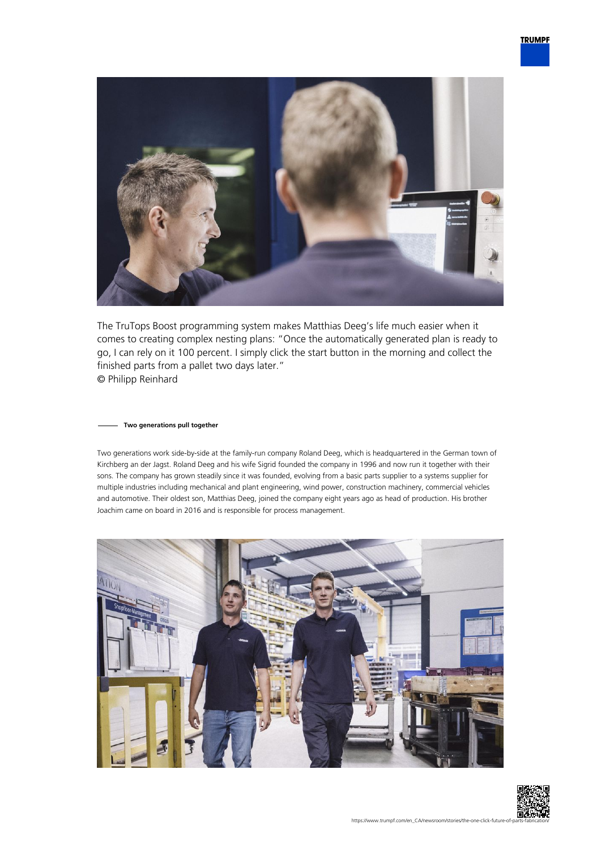

The TruTops Boost programming system makes Matthias Deeg's life much easier when it comes to creating complex nesting plans: "Once the automatically generated plan is ready to go, I can rely on it 100 percent. I simply click the start button in the morning and collect the finished parts from a pallet two days later." © Philipp Reinhard

## **Two generations pull together**

Two generations work side-by-side at the family-run company Roland Deeg, which is headquartered in the German town of Kirchberg an der Jagst. Roland Deeg and his wife Sigrid founded the company in 1996 and now run it together with their sons. The company has grown steadily since it was founded, evolving from a basic parts supplier to a systems supplier for multiple industries including mechanical and plant engineering, wind power, construction machinery, commercial vehicles and automotive. Their oldest son, Matthias Deeg, joined the company eight years ago as head of production. His brother Joachim came on board in 2016 and is responsible for process management.



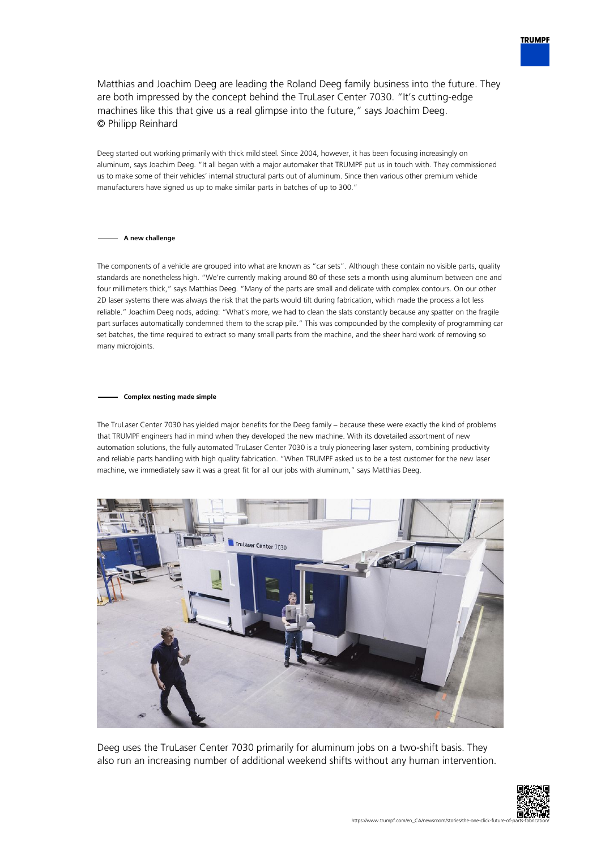

Matthias and Joachim Deeg are leading the Roland Deeg family business into the future. They are both impressed by the concept behind the TruLaser Center 7030. "It's cutting-edge machines like this that give us a real glimpse into the future," says Joachim Deeg. © Philipp Reinhard

Deeg started out working primarily with thick mild steel. Since 2004, however, it has been focusing increasingly on aluminum, says Joachim Deeg. "It all began with a major automaker that TRUMPF put us in touch with. They commissioned us to make some of their vehicles' internal structural parts out of aluminum. Since then various other premium vehicle manufacturers have signed us up to make similar parts in batches of up to 300."

## **A new challenge**

The components of a vehicle are grouped into what are known as "car sets". Although these contain no visible parts, quality standards are nonetheless high. "We're currently making around 80 of these sets a month using aluminum between one and four millimeters thick," says Matthias Deeg. "Many of the parts are small and delicate with complex contours. On our other 2D laser systems there was always the risk that the parts would tilt during fabrication, which made the process a lot less reliable." Joachim Deeg nods, adding: "What's more, we had to clean the slats constantly because any spatter on the fragile part surfaces automatically condemned them to the scrap pile." This was compounded by the complexity of programming car set batches, the time required to extract so many small parts from the machine, and the sheer hard work of removing so many microjoints.

#### **Complex nesting made simple**

The TruLaser Center 7030 has yielded major benefits for the Deeg family – because these were exactly the kind of problems that TRUMPF engineers had in mind when they developed the new machine. With its dovetailed assortment of new automation solutions, the fully automated TruLaser Center 7030 is a truly pioneering laser system, combining productivity and reliable parts handling with high quality fabrication. "When TRUMPF asked us to be a test customer for the new laser machine, we immediately saw it was a great fit for all our jobs with aluminum," says Matthias Deeg.



Deeg uses the TruLaser Center 7030 primarily for aluminum jobs on a two-shift basis. They also run an increasing number of additional weekend shifts without any human intervention.

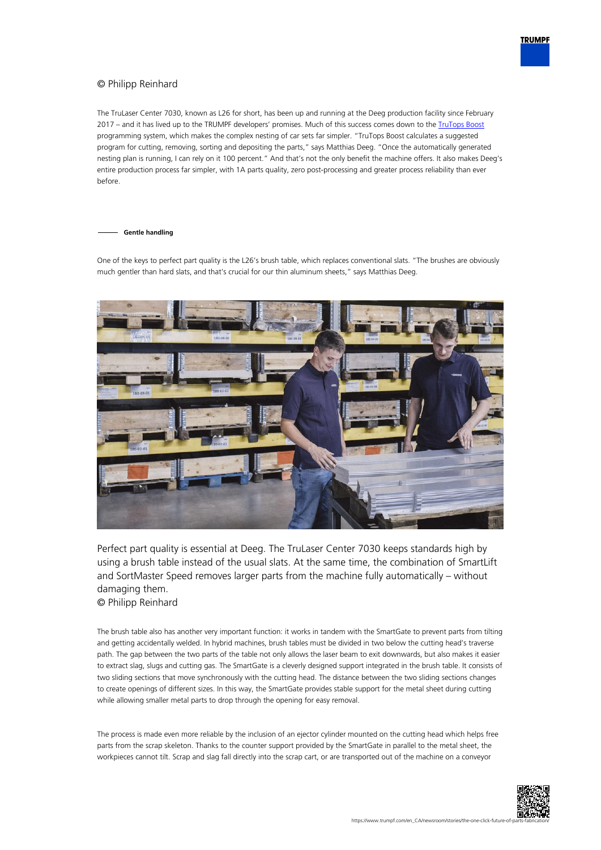# © Philipp Reinhard

The TruLaser Center 7030, known as L26 for short, has been up and running at the Deeg production facility since February 2017 – and it has lived up to the TRUMPF developers' promises. Much of this success comes down to the [TruTops Boost](https://www.trumpf.com/en_CA/products/software/programming-software/trutops-boost/) programming system, which makes the complex nesting of car sets far simpler. "TruTops Boost calculates a suggested program for cutting, removing, sorting and depositing the parts," says Matthias Deeg. "Once the automatically generated nesting plan is running, I can rely on it 100 percent." And that's not the only benefit the machine offers. It also makes Deeg's entire production process far simpler, with 1A parts quality, zero post-processing and greater process reliability than ever before.

### **Gentle handling**

One of the keys to perfect part quality is the L26's brush table, which replaces conventional slats. "The brushes are obviously much gentler than hard slats, and that's crucial for our thin aluminum sheets," says Matthias Deeg.



Perfect part quality is essential at Deeg. The TruLaser Center 7030 keeps standards high by using a brush table instead of the usual slats. At the same time, the combination of SmartLift and SortMaster Speed removes larger parts from the machine fully automatically – without damaging them.

© Philipp Reinhard

The brush table also has another very important function: it works in tandem with the SmartGate to prevent parts from tilting and getting accidentally welded. In hybrid machines, brush tables must be divided in two below the cutting head's traverse path. The gap between the two parts of the table not only allows the laser beam to exit downwards, but also makes it easier to extract slag, slugs and cutting gas. The SmartGate is a cleverly designed support integrated in the brush table. It consists of two sliding sections that move synchronously with the cutting head. The distance between the two sliding sections changes to create openings of different sizes. In this way, the SmartGate provides stable support for the metal sheet during cutting while allowing smaller metal parts to drop through the opening for easy removal.

The process is made even more reliable by the inclusion of an ejector cylinder mounted on the cutting head which helps free parts from the scrap skeleton. Thanks to the counter support provided by the SmartGate in parallel to the metal sheet, the workpieces cannot tilt. Scrap and slag fall directly into the scrap cart, or are transported out of the machine on a conveyor

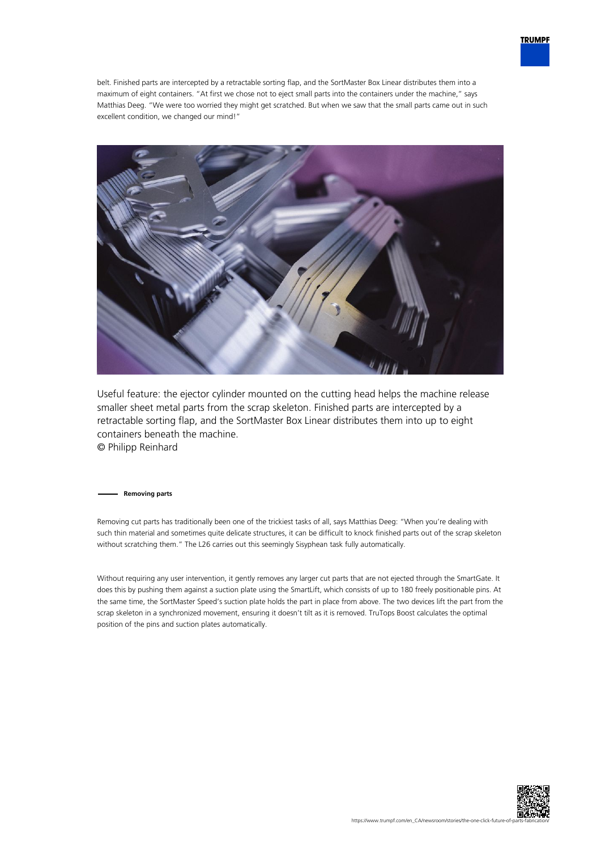

belt. Finished parts are intercepted by a retractable sorting flap, and the SortMaster Box Linear distributes them into a maximum of eight containers. "At first we chose not to eject small parts into the containers under the machine," says Matthias Deeg. "We were too worried they might get scratched. But when we saw that the small parts came out in such excellent condition, we changed our mind!"



Useful feature: the ejector cylinder mounted on the cutting head helps the machine release smaller sheet metal parts from the scrap skeleton. Finished parts are intercepted by a retractable sorting flap, and the SortMaster Box Linear distributes them into up to eight containers beneath the machine. © Philipp Reinhard

**Removing parts**

Removing cut parts has traditionally been one of the trickiest tasks of all, says Matthias Deeg: "When you're dealing with such thin material and sometimes quite delicate structures, it can be difficult to knock finished parts out of the scrap skeleton without scratching them." The L26 carries out this seemingly Sisyphean task fully automatically.

Without requiring any user intervention, it gently removes any larger cut parts that are not ejected through the SmartGate. It does this by pushing them against a suction plate using the SmartLift, which consists of up to 180 freely positionable pins. At the same time, the SortMaster Speed's suction plate holds the part in place from above. The two devices lift the part from the scrap skeleton in a synchronized movement, ensuring it doesn't tilt as it is removed. TruTops Boost calculates the optimal position of the pins and suction plates automatically.

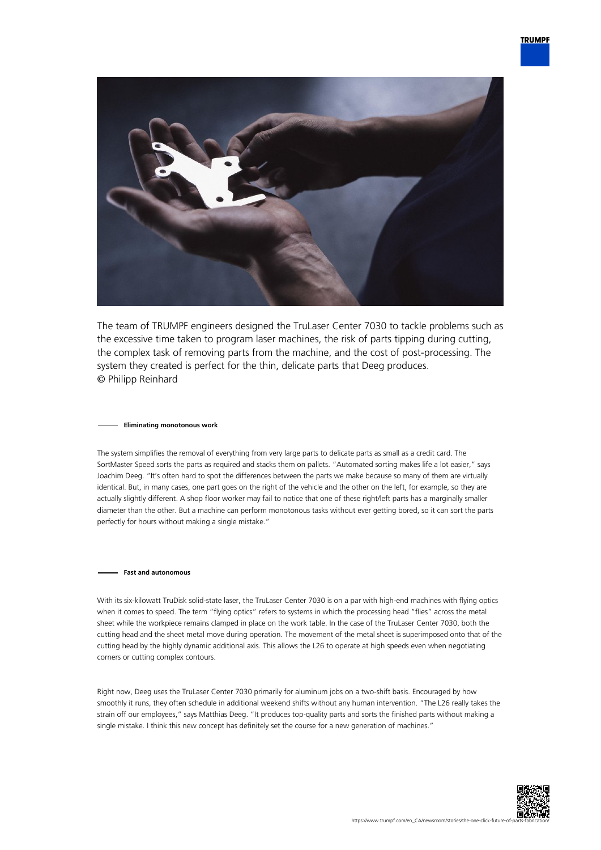

The team of TRUMPF engineers designed the TruLaser Center 7030 to tackle problems such as the excessive time taken to program laser machines, the risk of parts tipping during cutting, the complex task of removing parts from the machine, and the cost of post-processing. The system they created is perfect for the thin, delicate parts that Deeg produces. © Philipp Reinhard

## **Eliminating monotonous work**

The system simplifies the removal of everything from very large parts to delicate parts as small as a credit card. The SortMaster Speed sorts the parts as required and stacks them on pallets. "Automated sorting makes life a lot easier," says Joachim Deeg. "It's often hard to spot the differences between the parts we make because so many of them are virtually identical. But, in many cases, one part goes on the right of the vehicle and the other on the left, for example, so they are actually slightly different. A shop floor worker may fail to notice that one of these right/left parts has a marginally smaller diameter than the other. But a machine can perform monotonous tasks without ever getting bored, so it can sort the parts perfectly for hours without making a single mistake."

#### **Fast and autonomous**

With its six-kilowatt TruDisk solid-state laser, the TruLaser Center 7030 is on a par with high-end machines with flying optics when it comes to speed. The term "flying optics" refers to systems in which the processing head "flies" across the metal sheet while the workpiece remains clamped in place on the work table. In the case of the TruLaser Center 7030, both the cutting head and the sheet metal move during operation. The movement of the metal sheet is superimposed onto that of the cutting head by the highly dynamic additional axis. This allows the L26 to operate at high speeds even when negotiating corners or cutting complex contours.

Right now, Deeg uses the TruLaser Center 7030 primarily for aluminum jobs on a two-shift basis. Encouraged by how smoothly it runs, they often schedule in additional weekend shifts without any human intervention. "The L26 really takes the strain off our employees," says Matthias Deeg. "It produces top-quality parts and sorts the finished parts without making a single mistake. I think this new concept has definitely set the course for a new generation of machines."